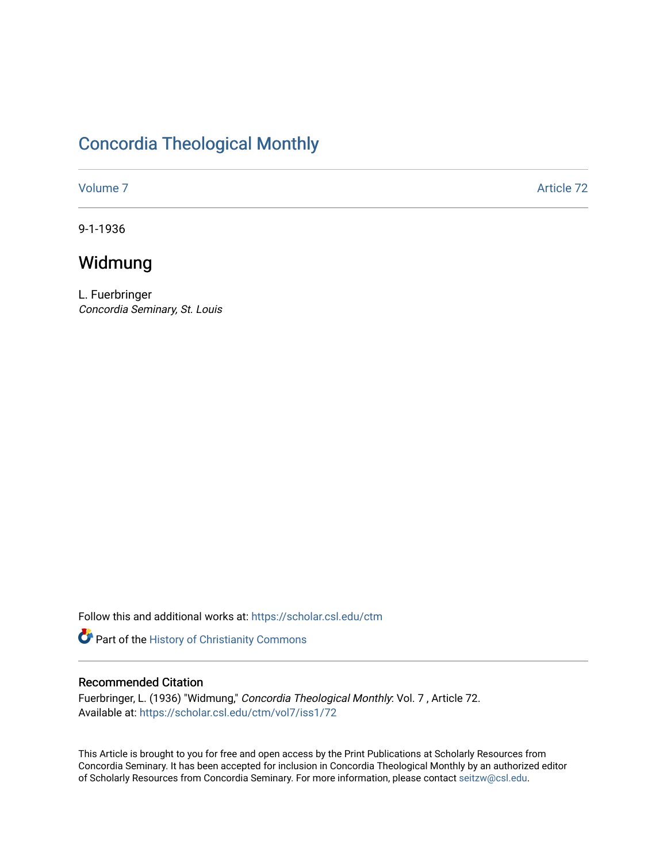# [Concordia Theological Monthly](https://scholar.csl.edu/ctm)

[Volume 7](https://scholar.csl.edu/ctm/vol7) Article 72

9-1-1936

## Widmung

L. Fuerbringer Concordia Seminary, St. Louis

Follow this and additional works at: [https://scholar.csl.edu/ctm](https://scholar.csl.edu/ctm?utm_source=scholar.csl.edu%2Fctm%2Fvol7%2Fiss1%2F72&utm_medium=PDF&utm_campaign=PDFCoverPages)

Part of the [History of Christianity Commons](http://network.bepress.com/hgg/discipline/1182?utm_source=scholar.csl.edu%2Fctm%2Fvol7%2Fiss1%2F72&utm_medium=PDF&utm_campaign=PDFCoverPages) 

### Recommended Citation

Fuerbringer, L. (1936) "Widmung," Concordia Theological Monthly: Vol. 7 , Article 72. Available at: [https://scholar.csl.edu/ctm/vol7/iss1/72](https://scholar.csl.edu/ctm/vol7/iss1/72?utm_source=scholar.csl.edu%2Fctm%2Fvol7%2Fiss1%2F72&utm_medium=PDF&utm_campaign=PDFCoverPages)

This Article is brought to you for free and open access by the Print Publications at Scholarly Resources from Concordia Seminary. It has been accepted for inclusion in Concordia Theological Monthly by an authorized editor of Scholarly Resources from Concordia Seminary. For more information, please contact [seitzw@csl.edu](mailto:seitzw@csl.edu).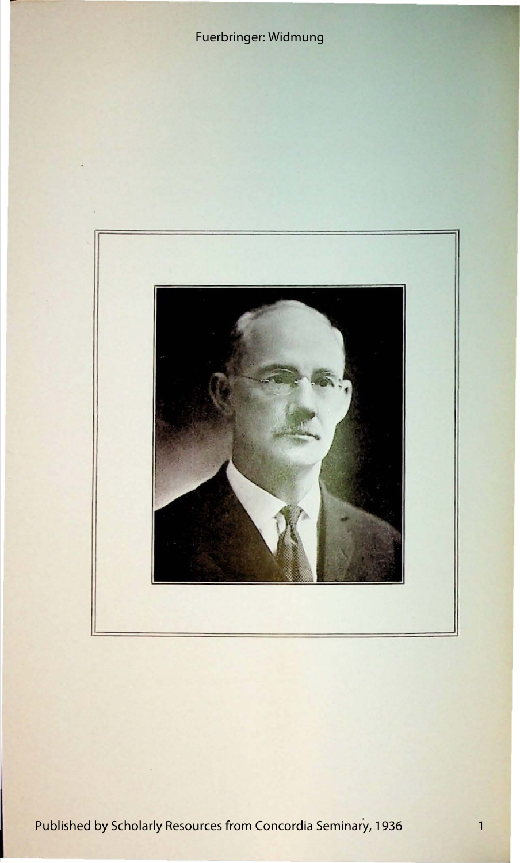## Fuerbringer: Widmung